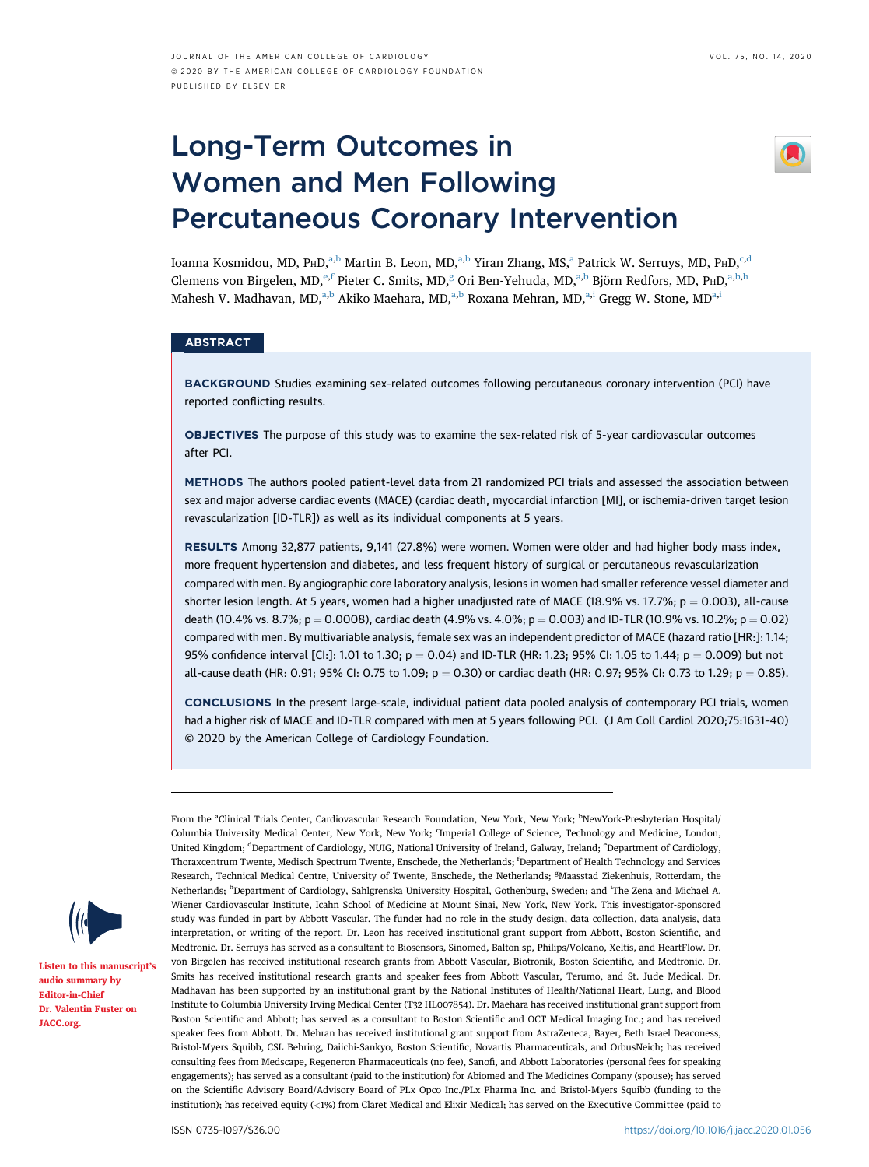# Long-Term Outcomes in Women and Men Following Percutaneous Coronary Intervention



### **ABSTRACT**

BACKGROUND Studies examining sex-related outcomes following percutaneous coronary intervention (PCI) have reported conflicting results.

OBJECTIVES The purpose of this study was to examine the sex-related risk of 5-year cardiovascular outcomes after PCI.

METHODS The authors pooled patient-level data from 21 randomized PCI trials and assessed the association between sex and major adverse cardiac events (MACE) (cardiac death, myocardial infarction [MI], or ischemia-driven target lesion revascularization [ID-TLR]) as well as its individual components at 5 years.

RESULTS Among 32,877 patients, 9,141 (27.8%) were women. Women were older and had higher body mass index, more frequent hypertension and diabetes, and less frequent history of surgical or percutaneous revascularization compared with men. By angiographic core laboratory analysis, lesions in women had smaller reference vessel diameter and shorter lesion length. At 5 years, women had a higher unadjusted rate of MACE (18.9% vs. 17.7%;  $p = 0.003$ ), all-cause death (10.4% vs. 8.7%; p = 0.0008), cardiac death (4.9% vs. 4.0%; p = 0.003) and ID-TLR (10.9% vs. 10.2%; p = 0.02) compared with men. By multivariable analysis, female sex was an independent predictor of MACE (hazard ratio [HR:]: 1.14; 95% confidence interval [CI:]: 1.01 to 1.30;  $p = 0.04$  and ID-TLR (HR: 1.23; 95% CI: 1.05 to 1.44;  $p = 0.009$ ) but not all-cause death (HR: 0.91; 95% CI: 0.75 to 1.09;  $p = 0.30$ ) or cardiac death (HR: 0.97; 95% CI: 0.73 to 1.29;  $p = 0.85$ ).

CONCLUSIONS In the present large-scale, individual patient data pooled analysis of contemporary PCI trials, women had a higher risk of MACE and ID-TLR compared with men at 5 years following PCI. (J Am Coll Cardiol 2020;75:1631–40) © 2020 by the American College of Cardiology Foundation.



[Listen to this manuscript](http://www.onlinejacc.org/podcasts)'s [audio summary by](http://www.onlinejacc.org/podcasts) [Editor-in-Chief](http://www.onlinejacc.org/podcasts) [Dr. Valentin Fuster on](http://www.onlinejacc.org/podcasts) [JACC.org](http://www.onlinejacc.org/).

From the <sup>a</sup>Clinical Trials Center, Cardiovascular Research Foundation, New York, New York; <sup>b</sup>NewYork-Presbyterian Hospital/ Columbia University Medical Center, New York, New York; 'Imperial College of Science, Technology and Medicine, London, United Kingdom; <sup>d</sup>Department of Cardiology, NUIG, National University of Ireland, Galway, Ireland; <sup>e</sup>Department of Cardiology, Thoraxcentrum Twente, Medisch Spectrum Twente, Enschede, the Netherlands; <sup>f</sup> Department of Health Technology and Services Research, Technical Medical Centre, University of Twente, Enschede, the Netherlands; <sup>g</sup>Maasstad Ziekenhuis, Rotterdam, the Netherlands; <sup>h</sup>Department of Cardiology, Sahlgrenska University Hospital, Gothenburg, Sweden; and <sup>i</sup>The Zena and Michael A. Wiener Cardiovascular Institute, Icahn School of Medicine at Mount Sinai, New York, New York. This investigator-sponsored study was funded in part by Abbott Vascular. The funder had no role in the study design, data collection, data analysis, data interpretation, or writing of the report. Dr. Leon has received institutional grant support from Abbott, Boston Scientific, and Medtronic. Dr. Serruys has served as a consultant to Biosensors, Sinomed, Balton sp, Philips/Volcano, Xeltis, and HeartFlow. Dr. von Birgelen has received institutional research grants from Abbott Vascular, Biotronik, Boston Scientific, and Medtronic. Dr. Smits has received institutional research grants and speaker fees from Abbott Vascular, Terumo, and St. Jude Medical. Dr. Madhavan has been supported by an institutional grant by the National Institutes of Health/National Heart, Lung, and Blood Institute to Columbia University Irving Medical Center (T32 HL007854). Dr. Maehara has received institutional grant support from Boston Scientific and Abbott; has served as a consultant to Boston Scientific and OCT Medical Imaging Inc.; and has received speaker fees from Abbott. Dr. Mehran has received institutional grant support from AstraZeneca, Bayer, Beth Israel Deaconess, Bristol-Myers Squibb, CSL Behring, Daiichi-Sankyo, Boston Scientific, Novartis Pharmaceuticals, and OrbusNeich; has received consulting fees from Medscape, Regeneron Pharmaceuticals (no fee), Sanofi, and Abbott Laboratories (personal fees for speaking engagements); has served as a consultant (paid to the institution) for Abiomed and The Medicines Company (spouse); has served on the Scientific Advisory Board/Advisory Board of PLx Opco Inc./PLx Pharma Inc. and Bristol-Myers Squibb (funding to the institution); has received equity (<1%) from Claret Medical and Elixir Medical; has served on the Executive Committee (paid to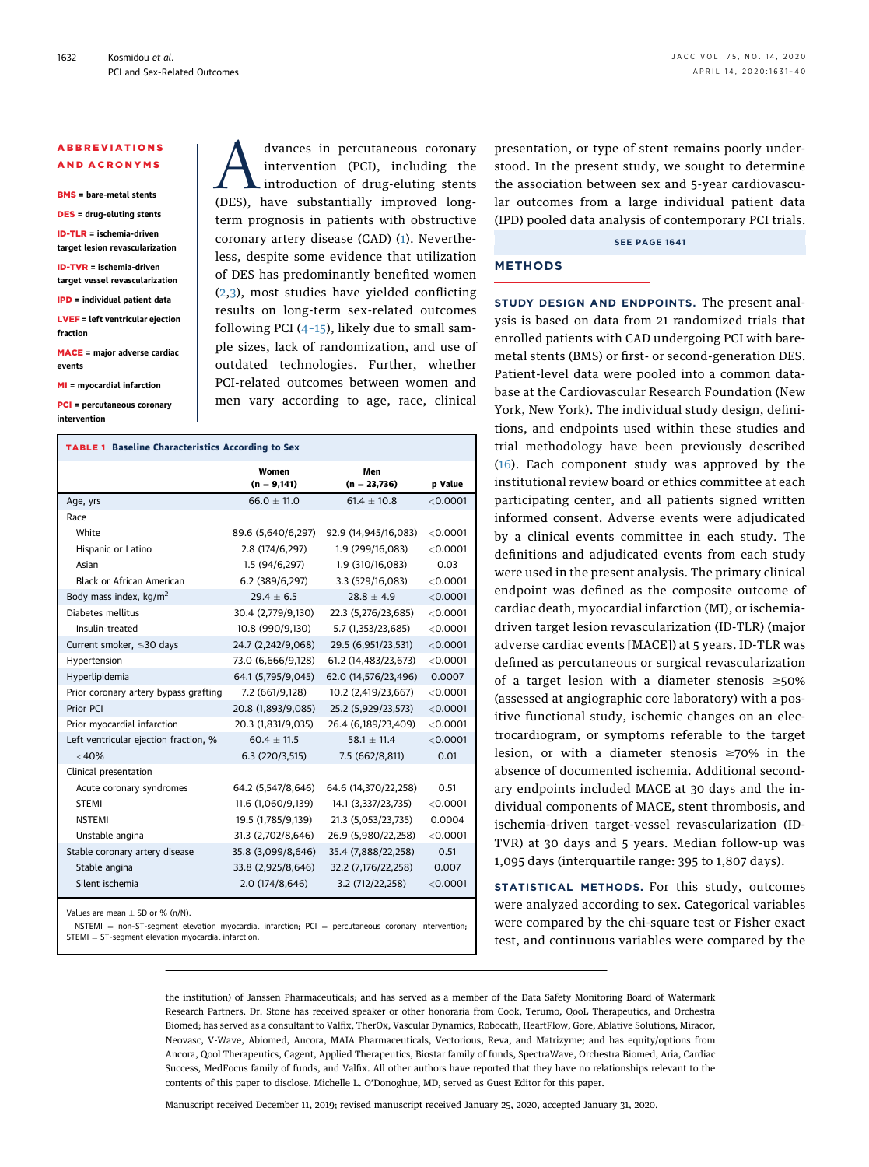#### ABBREVIATIONS AND ACRONYMS

BMS = bare-metal stents

- DES = drug-eluting stents
- ID-TLR = ischemia-driven
- target lesion revascularization
- ID-TVR = ischemia-driven target vessel revascularization
- IPD = individual patient data
- LVEF = left ventricular ejection fraction

MACE = major adverse cardiac events

MI = myocardial infarction

PCI = percutaneous coronary

intervention

A dvances in percutaneous coronary<br>intervention (PCI), including the<br>(DES), have substantially improved longintervention (PCI), including the introduction of drug-eluting stents term prognosis in patients with obstructive coronary artery disease (CAD) ([1](#page-9-0)). Nevertheless, despite some evidence that utilization of DES has predominantly benefited women ([2,](#page-9-1)[3\)](#page-9-2), most studies have yielded conflicting results on long-term sex-related outcomes following PCI  $(4-15)$  $(4-15)$  $(4-15)$ , likely due to small sample sizes, lack of randomization, and use of outdated technologies. Further, whether PCI-related outcomes between women and men vary according to age, race, clinical

<span id="page-1-0"></span>

| <b>TABLE 1 Baseline Characteristics According to Sex</b> |                        |                        |            |  |  |  |
|----------------------------------------------------------|------------------------|------------------------|------------|--|--|--|
|                                                          | Women<br>$(n = 9,141)$ | Men<br>$(n = 23, 736)$ | p Value    |  |  |  |
| Age, yrs                                                 | $66.0 \pm 11.0$        | $61.4 + 10.8$          | < 0.0001   |  |  |  |
| Race                                                     |                        |                        |            |  |  |  |
| White                                                    | 89.6 (5,640/6,297)     | 92.9 (14,945/16,083)   | < 0.0001   |  |  |  |
| Hispanic or Latino                                       | 2.8 (174/6,297)        | 1.9 (299/16,083)       | < 0.0001   |  |  |  |
| Asian                                                    | 1.5 (94/6,297)         | 1.9 (310/16,083)       | 0.03       |  |  |  |
| <b>Black or African American</b>                         | 6.2 (389/6,297)        | 3.3 (529/16,083)       | < 0.0001   |  |  |  |
| Body mass index, kg/m <sup>2</sup>                       | $29.4 \pm 6.5$         | $28.8 \pm 4.9$         | < 0.0001   |  |  |  |
| Diabetes mellitus                                        | 30.4 (2,779/9,130)     | 22.3 (5,276/23,685)    | < 0.0001   |  |  |  |
| Insulin-treated                                          | 10.8 (990/9,130)       | 5.7 (1,353/23,685)     | < 0.0001   |  |  |  |
| Current smoker, $\leq$ 30 days                           | 24.7 (2,242/9,068)     | 29.5 (6,951/23,531)    | < 0.0001   |  |  |  |
| Hypertension                                             | 73.0 (6,666/9,128)     | 61.2 (14,483/23,673)   | < 0.0001   |  |  |  |
| Hyperlipidemia                                           | 64.1 (5,795/9,045)     | 62.0 (14,576/23,496)   | 0.0007     |  |  |  |
| Prior coronary artery bypass grafting                    | 7.2 (661/9,128)        | 10.2 (2,419/23,667)    | < 0.0001   |  |  |  |
| Prior PCI                                                | 20.8 (1,893/9,085)     | 25.2 (5,929/23,573)    | < 0.0001   |  |  |  |
| Prior myocardial infarction                              | 20.3 (1,831/9,035)     | 26.4 (6,189/23,409)    | < 0.0001   |  |  |  |
| Left ventricular ejection fraction, %                    | $60.4 + 11.5$          | $58.1 + 11.4$          | < 0.0001   |  |  |  |
| $<$ 40%                                                  | 6.3 (220/3,515)        | 7.5 (662/8,811)        | 0.01       |  |  |  |
| Clinical presentation                                    |                        |                        |            |  |  |  |
| Acute coronary syndromes                                 | 64.2 (5,547/8,646)     | 64.6 (14,370/22,258)   | 0.51       |  |  |  |
| <b>STEMI</b>                                             | 11.6 (1,060/9,139)     | 14.1 (3,337/23,735)    | $<$ 0.0001 |  |  |  |
| <b>NSTEMI</b>                                            | 19.5 (1,785/9,139)     | 21.3 (5,053/23,735)    | 0.0004     |  |  |  |
| Unstable angina                                          | 31.3 (2,702/8,646)     | 26.9 (5,980/22,258)    | < 0.0001   |  |  |  |
| Stable coronary artery disease                           | 35.8 (3,099/8,646)     | 35.4 (7,888/22,258)    | 0.51       |  |  |  |
| Stable angina                                            | 33.8 (2,925/8,646)     | 32.2 (7,176/22,258)    | 0.007      |  |  |  |
| Silent ischemia                                          | 2.0 (174/8,646)        | 3.2 (712/22,258)       | < 0.0001   |  |  |  |
|                                                          |                        |                        |            |  |  |  |

Values are mean  $\pm$  SD or % (n/N).

 $NSTEMI = non-ST-segment elevation myocardial infarction; PCI = percutaneous coronary intervention;$  $STEMI = ST-segment$  elevation myocardial infarction.

presentation, or type of stent remains poorly understood. In the present study, we sought to determine the association between sex and 5-year cardiovascular outcomes from a large individual patient data (IPD) pooled data analysis of contemporary PCI trials.

## SEE PAGE 1641

### <span id="page-1-1"></span>**METHODS**

STUDY DESIGN AND ENDPOINTS. The present analysis is based on data from 21 randomized trials that enrolled patients with CAD undergoing PCI with baremetal stents (BMS) or first- or second-generation DES. Patient-level data were pooled into a common database at the Cardiovascular Research Foundation (New York, New York). The individual study design, definitions, and endpoints used within these studies and trial methodology have been previously described ([16](#page-9-4)). Each component study was approved by the institutional review board or ethics committee at each participating center, and all patients signed written informed consent. Adverse events were adjudicated by a clinical events committee in each study. The definitions and adjudicated events from each study were used in the present analysis. The primary clinical endpoint was defined as the composite outcome of cardiac death, myocardial infarction (MI), or ischemiadriven target lesion revascularization (ID-TLR) (major adverse cardiac events [MACE]) at 5 years. ID-TLR was defined as percutaneous or surgical revascularization of a target lesion with a diameter stenosis  $\geq$ 50% (assessed at angiographic core laboratory) with a positive functional study, ischemic changes on an electrocardiogram, or symptoms referable to the target lesion, or with a diameter stenosis  $\geq 70\%$  in the absence of documented ischemia. Additional secondary endpoints included MACE at 30 days and the individual components of MACE, stent thrombosis, and ischemia-driven target-vessel revascularization (ID-TVR) at 30 days and 5 years. Median follow-up was 1,095 days (interquartile range: 395 to 1,807 days).

STATISTICAL METHODS. For this study, outcomes were analyzed according to sex. Categorical variables were compared by the chi-square test or Fisher exact test, and continuous variables were compared by the

the institution) of Janssen Pharmaceuticals; and has served as a member of the Data Safety Monitoring Board of Watermark Research Partners. Dr. Stone has received speaker or other honoraria from Cook, Terumo, QooL Therapeutics, and Orchestra Biomed; has served as a consultant to Valfix, TherOx, Vascular Dynamics, Robocath, HeartFlow, Gore, Ablative Solutions, Miracor, Neovasc, V-Wave, Abiomed, Ancora, MAIA Pharmaceuticals, Vectorious, Reva, and Matrizyme; and has equity/options from Ancora, Qool Therapeutics, Cagent, Applied Therapeutics, Biostar family of funds, SpectraWave, Orchestra Biomed, Aria, Cardiac Success, MedFocus family of funds, and Valfix. All other authors have reported that they have no relationships relevant to the contents of this paper to disclose. Michelle L. O'Donoghue, MD, served as Guest Editor for this paper.

Manuscript received December 11, 2019; revised manuscript received January 25, 2020, accepted January 31, 2020.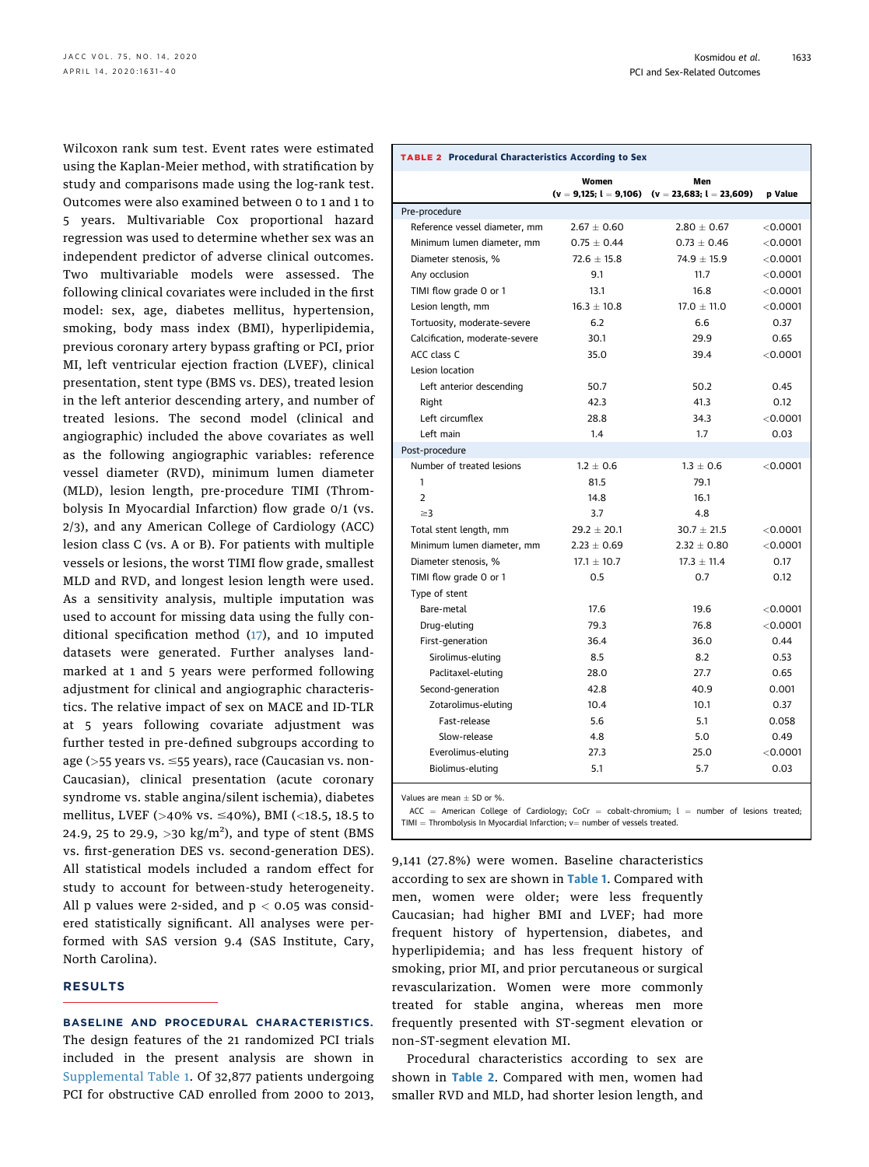Wilcoxon rank sum test. Event rates were estimated using the Kaplan-Meier method, with stratification by study and comparisons made using the log-rank test. Outcomes were also examined between 0 to 1 and 1 to 5 years. Multivariable Cox proportional hazard regression was used to determine whether sex was an independent predictor of adverse clinical outcomes. Two multivariable models were assessed. The following clinical covariates were included in the first model: sex, age, diabetes mellitus, hypertension, smoking, body mass index (BMI), hyperlipidemia, previous coronary artery bypass grafting or PCI, prior MI, left ventricular ejection fraction (LVEF), clinical presentation, stent type (BMS vs. DES), treated lesion in the left anterior descending artery, and number of treated lesions. The second model (clinical and angiographic) included the above covariates as well as the following angiographic variables: reference vessel diameter (RVD), minimum lumen diameter (MLD), lesion length, pre-procedure TIMI (Thrombolysis In Myocardial Infarction) flow grade 0/1 (vs. 2/3), and any American College of Cardiology (ACC) lesion class C (vs. A or B). For patients with multiple vessels or lesions, the worst TIMI flow grade, smallest MLD and RVD, and longest lesion length were used. As a sensitivity analysis, multiple imputation was used to account for missing data using the fully conditional specification method [\(17](#page-9-5)), and 10 imputed datasets were generated. Further analyses landmarked at 1 and 5 years were performed following adjustment for clinical and angiographic characteristics. The relative impact of sex on MACE and ID-TLR at 5 years following covariate adjustment was further tested in pre-defined subgroups according to age (>55 years vs. #55 years), race (Caucasian vs. non-Caucasian), clinical presentation (acute coronary syndrome vs. stable angina/silent ischemia), diabetes mellitus, LVEF (>40% vs.  $\leq$ 40%), BMI (<18.5, 18.5 to 24.9, 25 to 29.9,  $>$ 30 kg/m<sup>2</sup>), and type of stent (BMS vs. first-generation DES vs. second-generation DES). All statistical models included a random effect for study to account for between-study heterogeneity. All p values were 2-sided, and  $p < 0.05$  was considered statistically significant. All analyses were performed with SAS version 9.4 (SAS Institute, Cary, North Carolina).

## RESULTS

BASELINE AND PROCEDURAL CHARACTERISTICS. The design features of the 21 randomized PCI trials included in the present analysis are shown in [Supplemental Table 1.](https://doi.org/10.1016/j.jacc.2020.01.056) Of 32,877 patients undergoing PCI for obstructive CAD enrolled from 2000 to 2013,

#### <span id="page-2-0"></span>TABLE 2 Procedural Characteristics According to Sex

|                                | Women<br>$(v = 9,125; l = 9,106)$ | Men<br>$(v = 23,683; l = 23,609)$ | p Value  |
|--------------------------------|-----------------------------------|-----------------------------------|----------|
| Pre-procedure                  |                                   |                                   |          |
| Reference vessel diameter, mm  | $2.67 \pm 0.60$                   | $2.80 \pm 0.67$                   | < 0.0001 |
| Minimum lumen diameter, mm     | $0.75 \pm 0.44$                   | $0.73 \pm 0.46$                   | < 0.0001 |
| Diameter stenosis, %           | $72.6 \pm 15.8$                   | $74.9 \pm 15.9$                   | < 0.0001 |
| Any occlusion                  | 9.1                               | 11.7                              | < 0.0001 |
| TIMI flow grade 0 or 1         | 131                               | 16.8                              | < 0.0001 |
| Lesion length, mm              | $16.3 \pm 10.8$                   | $17.0 \pm 11.0$                   | < 0.0001 |
| Tortuosity, moderate-severe    | 6.2                               | 6.6                               | 0.37     |
| Calcification, moderate-severe | 30.1                              | 29.9                              | 0.65     |
| ACC class C                    | 35.0                              | 39.4                              | < 0.0001 |
| Lesion location                |                                   |                                   |          |
| Left anterior descending       | 50.7                              | 50.2                              | 0.45     |
| Right                          | 42.3                              | 41.3                              | 0.12     |
| Left circumflex                | 28.8                              | 34.3                              | < 0.0001 |
| Left main                      | 1.4                               | 1.7                               | 0.03     |
| Post-procedure                 |                                   |                                   |          |
| Number of treated lesions      | $1.2 \pm 0.6$                     | $1.3 \pm 0.6$                     | < 0.0001 |
| 1                              | 81.5                              | 79.1                              |          |
| $\overline{2}$                 | 14.8                              | 16.1                              |          |
| $\geq$ 3                       | 3.7                               | 4.8                               |          |
| Total stent length, mm         | $29.2 \pm 20.1$                   | $30.7 \pm 21.5$                   | < 0.0001 |
| Minimum lumen diameter, mm     | $2.23 \pm 0.69$                   | $2.32 \pm 0.80$                   | < 0.0001 |
| Diameter stenosis, %           | $17.1 \pm 10.7$                   | $17.3 \pm 11.4$                   | 0.17     |
| TIMI flow grade 0 or 1         | 0.5                               | 0.7                               | 0.12     |
| Type of stent                  |                                   |                                   |          |
| Bare-metal                     | 17.6                              | 19.6                              | < 0.0001 |
| Drug-eluting                   | 79.3                              | 76.8                              | < 0.0001 |
| First-generation               | 36.4                              | 36.0                              | 0.44     |
| Sirolimus-eluting              | 8.5                               | 8.2                               | 0.53     |
| Paclitaxel-eluting             | 28.0                              | 27.7                              | 0.65     |
| Second-generation              | 42.8                              | 40.9                              | 0.001    |
| Zotarolimus-eluting            | 10.4                              | 10.1                              | 0.37     |
| Fast-release                   | 5.6                               | 5.1                               | 0.058    |
| Slow-release                   | 4.8                               | 5.0                               | 0.49     |
| Everolimus-eluting             | 27.3                              | 25.0                              | < 0.0001 |
| Biolimus-eluting               | 5.1                               | 5.7                               | 0.03     |
|                                |                                   |                                   |          |

Values are mean  $\pm$  SD or %.

 $ACC = American College of Cardiology; COCr = cobalt-chromium;  $l = number of lesions treated;$$ TIMI = Thrombolysis In Myocardial Infarction;  $v=$  number of vessels treated.

9,141 (27.8%) were women. Baseline characteristics according to sex are shown in [Table 1](#page-1-0). Compared with men, women were older; were less frequently Caucasian; had higher BMI and LVEF; had more frequent history of hypertension, diabetes, and hyperlipidemia; and has less frequent history of smoking, prior MI, and prior percutaneous or surgical revascularization. Women were more commonly treated for stable angina, whereas men more frequently presented with ST-segment elevation or non–ST-segment elevation MI.

Procedural characteristics according to sex are shown in [Table 2](#page-2-0). Compared with men, women had smaller RVD and MLD, had shorter lesion length, and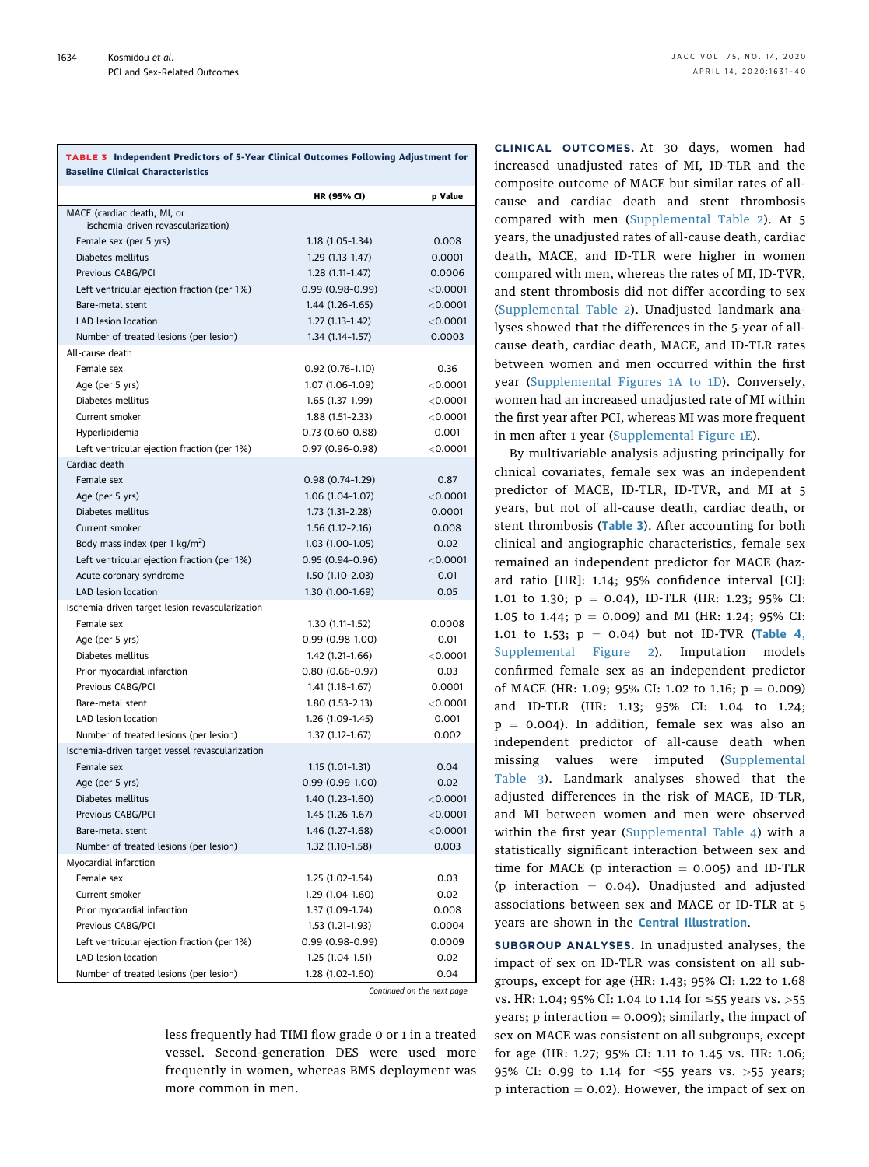<span id="page-3-0"></span>TABLE 3 Independent Predictors of 5-Year Clinical Outcomes Following Adjustment for Baseline Clinical Characteristics

|                                                                   | <b>HR (95% CI)</b>  | p Value          |
|-------------------------------------------------------------------|---------------------|------------------|
|                                                                   |                     |                  |
| MACE (cardiac death, MI, or<br>ischemia-driven revascularization) |                     |                  |
| Female sex (per 5 yrs)                                            | 1.18 (1.05-1.34)    | 0.008            |
| Diabetes mellitus                                                 | $1.29(1.13 - 1.47)$ | 0.0001           |
| Previous CABG/PCI                                                 | $1.28(1.11-1.47)$   | 0.0006           |
| Left ventricular ejection fraction (per 1%)                       | $0.99(0.98-0.99)$   | $<$ 0.0001       |
| Bare-metal stent                                                  | $1.44(1.26-1.65)$   | $<$ 0.0001       |
| LAD lesion location                                               | $1.27(1.13-1.42)$   | $<$ 0.0001       |
| Number of treated lesions (per lesion)                            | $1.34(1.14-1.57)$   | 0.0003           |
| All-cause death                                                   |                     |                  |
| Female sex                                                        | $0.92(0.76-1.10)$   | 0.36             |
| Age (per 5 yrs)                                                   | 1.07 (1.06-1.09)    | < 0.0001         |
| Diabetes mellitus                                                 | 1.65 (1.37-1.99)    | $<$ 0.0001       |
| Current smoker                                                    | $1.88(1.51-2.33)$   | < 0.0001         |
| Hyperlipidemia                                                    | $0.73(0.60 - 0.88)$ | 0.001            |
| Left ventricular ejection fraction (per 1%)                       | $0.97(0.96 - 0.98)$ | < 0.0001         |
| Cardiac death                                                     |                     |                  |
| Female sex                                                        | $0.98(0.74-1.29)$   | 0.87             |
| Age (per 5 yrs)                                                   | 1.06 (1.04-1.07)    | < 0.0001         |
| Diabetes mellitus                                                 | $1.73(1.31-2.28)$   | 0.0001           |
| Current smoker                                                    | $1.56(1.12 - 2.16)$ | 0.008            |
| Body mass index (per 1 $\text{kg/m}^2$ )                          | 1.03 (1.00-1.05)    | 0.02             |
| Left ventricular ejection fraction (per 1%)                       | $0.95(0.94-0.96)$   | $<$ 0.0001       |
| Acute coronary syndrome                                           | $1.50(1.10-2.03)$   | 0.01             |
| LAD lesion location                                               | 1.30 (1.00-1.69)    | 0.05             |
| Ischemia-driven target lesion revascularization                   |                     |                  |
| Female sex                                                        | 1.30 (1.11-1.52)    | 0.0008           |
| Age (per 5 yrs)                                                   | $0.99(0.98-1.00)$   | 0.01             |
| Diabetes mellitus                                                 | 1.42 (1.21-1.66)    | $<$ 0.0001       |
| Prior myocardial infarction                                       | $0.80(0.66 - 0.97)$ | 0.03             |
| Previous CABG/PCI                                                 | $1.41(1.18-1.67)$   | 0.0001           |
| Bare-metal stent                                                  | $1.80(1.53 - 2.13)$ | $<$ 0.0001       |
| LAD lesion location                                               | 1.26 (1.09-1.45)    | 0.001            |
| Number of treated lesions (per lesion)                            | $1.37(1.12 - 1.67)$ | 0.002            |
| Ischemia-driven target vessel revascularization                   |                     |                  |
| Female sex                                                        | $1.15(1.01-1.31)$   | 0.04             |
| Age (per 5 yrs)                                                   | $0.99(0.99-1.00)$   | 0.02             |
| Diabetes mellitus                                                 | $1.40(1.23-1.60)$   | < 0.0001         |
| Previous CABG/PCI                                                 | $1.45(1.26-1.67)$   | < 0.0001         |
| Bare-metal stent                                                  | 1.46 (1.27-1.68)    | < 0.0001         |
| Number of treated lesions (per lesion)                            | 1.32 (1.10-1.58)    | 0.003            |
| Myocardial infarction                                             |                     |                  |
| Female sex                                                        | 1.25 (1.02-1.54)    | 0.03             |
| Current smoker                                                    | 1.29 (1.04-1.60)    | 0.02             |
| Prior myocardial infarction                                       | 1.37 (1.09-1.74)    |                  |
| Previous CABG/PCI                                                 | 1.53 (1.21-1.93)    | 0.008            |
|                                                                   |                     | 0.0004<br>0.0009 |
| Left ventricular ejection fraction (per 1%)                       | $0.99(0.98-0.99)$   |                  |
| LAD lesion location                                               | $1.25(1.04-1.51)$   | 0.02             |
| Number of treated lesions (per lesion)                            | 1.28 (1.02-1.60)    | 0.04             |

Continued on the next page

less frequently had TIMI flow grade 0 or 1 in a treated vessel. Second-generation DES were used more frequently in women, whereas BMS deployment was more common in men.

CLINICAL OUTCOMES. At 30 days, women had increased unadjusted rates of MI, ID-TLR and the composite outcome of MACE but similar rates of allcause and cardiac death and stent thrombosis compared with men ([Supplemental Table 2](https://doi.org/10.1016/j.jacc.2020.01.056)). At 5 years, the unadjusted rates of all-cause death, cardiac death, MACE, and ID-TLR were higher in women compared with men, whereas the rates of MI, ID-TVR, and stent thrombosis did not differ according to sex ([Supplemental Table 2](https://doi.org/10.1016/j.jacc.2020.01.056)). Unadjusted landmark analyses showed that the differences in the 5-year of allcause death, cardiac death, MACE, and ID-TLR rates between women and men occurred within the first year ([Supplemental Figures 1A to 1D\)](https://doi.org/10.1016/j.jacc.2020.01.056). Conversely, women had an increased unadjusted rate of MI within the first year after PCI, whereas MI was more frequent in men after 1 year ([Supplemental Figure 1E](https://doi.org/10.1016/j.jacc.2020.01.056)).

By multivariable analysis adjusting principally for clinical covariates, female sex was an independent predictor of MACE, ID-TLR, ID-TVR, and MI at 5 years, but not of all-cause death, cardiac death, or stent thrombosis ([Table 3](#page-3-0)). After accounting for both clinical and angiographic characteristics, female sex remained an independent predictor for MACE (hazard ratio [HR]: 1.14; 95% confidence interval [CI]: 1.01 to 1.30;  $p = 0.04$ ), ID-TLR (HR: 1.23; 95% CI: 1.05 to 1.44;  $p = 0.009$ ) and MI (HR: 1.24; 95% CI: 1.01 to 1.53;  $p = 0.04$ ) but not ID-TVR ([Table 4](#page-5-0), [Supplemental Figure 2](https://doi.org/10.1016/j.jacc.2020.01.056)). Imputation models confirmed female sex as an independent predictor of MACE (HR: 1.09; 95% CI: 1.02 to 1.16;  $p = 0.009$ ) and ID-TLR (HR: 1.13; 95% CI: 1.04 to 1.24;  $p = 0.004$ ). In addition, female sex was also an independent predictor of all-cause death when missing values were imputed ([Supplemental](https://doi.org/10.1016/j.jacc.2020.01.056) [Table 3](https://doi.org/10.1016/j.jacc.2020.01.056)). Landmark analyses showed that the adjusted differences in the risk of MACE, ID-TLR, and MI between women and men were observed within the first year [\(Supplemental Table 4](https://doi.org/10.1016/j.jacc.2020.01.056)) with a statistically significant interaction between sex and time for MACE (p interaction  $= 0.005$ ) and ID-TLR (p interaction  $= 0.04$ ). Unadjusted and adjusted associations between sex and MACE or ID-TLR at 5 years are shown in the [Central Illustration](#page-6-0).

SUBGROUP ANALYSES. In unadjusted analyses, the impact of sex on ID-TLR was consistent on all subgroups, except for age (HR: 1.43; 95% CI: 1.22 to 1.68 vs. HR: 1.04; 95% CI: 1.04 to 1.14 for  $\leq$ 55 years vs. >55 years; p interaction  $= 0.009$ ); similarly, the impact of sex on MACE was consistent on all subgroups, except for age (HR: 1.27; 95% CI: 1.11 to 1.45 vs. HR: 1.06; 95% CI: 0.99 to 1.14 for  $\leq$ 55 years vs. >55 years;  $p$  interaction  $= 0.02$ ). However, the impact of sex on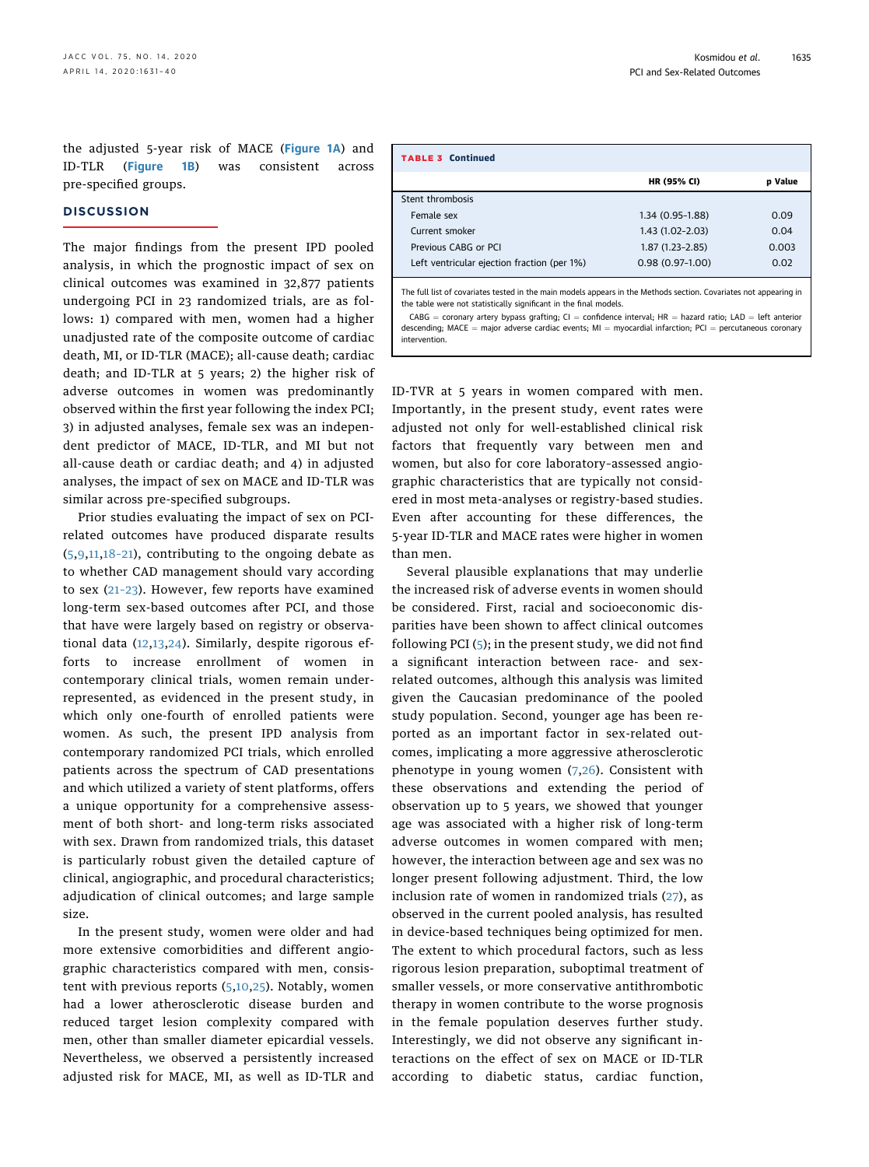the adjusted 5-year risk of MACE ([Figure 1A](#page-7-0)) and ID-TLR ([Figure 1B](#page-7-0)) was consistent across pre-specified groups.

## **DISCUSSION**

The major findings from the present IPD pooled analysis, in which the prognostic impact of sex on clinical outcomes was examined in 32,877 patients undergoing PCI in 23 randomized trials, are as follows: 1) compared with men, women had a higher unadjusted rate of the composite outcome of cardiac death, MI, or ID-TLR (MACE); all-cause death; cardiac death; and ID-TLR at 5 years; 2) the higher risk of adverse outcomes in women was predominantly observed within the first year following the index PCI; 3) in adjusted analyses, female sex was an independent predictor of MACE, ID-TLR, and MI but not all-cause death or cardiac death; and 4) in adjusted analyses, the impact of sex on MACE and ID-TLR was similar across pre-specified subgroups.

Prior studies evaluating the impact of sex on PCIrelated outcomes have produced disparate results ([5,](#page-9-6)[9](#page-9-7),[11](#page-9-8)[,18](#page-9-9)–21), contributing to the ongoing debate as to whether CAD management should vary according to sex (21–[23\)](#page-9-10). However, few reports have examined long-term sex-based outcomes after PCI, and those that have were largely based on registry or observational data ([12,](#page-9-11)[13](#page-9-12),[24\)](#page-9-13). Similarly, despite rigorous efforts to increase enrollment of women in contemporary clinical trials, women remain underrepresented, as evidenced in the present study, in which only one-fourth of enrolled patients were women. As such, the present IPD analysis from contemporary randomized PCI trials, which enrolled patients across the spectrum of CAD presentations and which utilized a variety of stent platforms, offers a unique opportunity for a comprehensive assessment of both short- and long-term risks associated with sex. Drawn from randomized trials, this dataset is particularly robust given the detailed capture of clinical, angiographic, and procedural characteristics; adjudication of clinical outcomes; and large sample size.

In the present study, women were older and had more extensive comorbidities and different angiographic characteristics compared with men, consistent with previous reports ([5](#page-9-6),[10](#page-9-14),[25](#page-9-15)). Notably, women had a lower atherosclerotic disease burden and reduced target lesion complexity compared with men, other than smaller diameter epicardial vessels. Nevertheless, we observed a persistently increased adjusted risk for MACE, MI, as well as ID-TLR and

| <b>TABLE 3 Continued</b>                    |                     |                |
|---------------------------------------------|---------------------|----------------|
|                                             | <b>HR (95% CI)</b>  | <b>p</b> Value |
| Stent thrombosis                            |                     |                |
| Female sex                                  | $1.34(0.95-1.88)$   | 0.09           |
| Current smoker                              | 1.43 (1.02-2.03)    | 0.04           |
| Previous CABG or PCI                        | $1.87(1.23 - 2.85)$ | 0.003          |
| Left ventricular ejection fraction (per 1%) | $0.98(0.97-1.00)$   | 0.02           |

The full list of covariates tested in the main models appears in the Methods section. Covariates not appearing in the table were not statistically significant in the final models.

 $CABG =$  coronary artery bypass grafting; CI = confidence interval; HR = hazard ratio; LAD = left anterior descending; MACE = major adverse cardiac events; MI = myocardial infarction; PCI = percutaneous coronary intervention.

ID-TVR at 5 years in women compared with men. Importantly, in the present study, event rates were adjusted not only for well-established clinical risk factors that frequently vary between men and women, but also for core laboratory–assessed angiographic characteristics that are typically not considered in most meta-analyses or registry-based studies. Even after accounting for these differences, the 5-year ID-TLR and MACE rates were higher in women than men.

Several plausible explanations that may underlie the increased risk of adverse events in women should be considered. First, racial and socioeconomic disparities have been shown to affect clinical outcomes following PCI ([5](#page-9-6)); in the present study, we did not find a significant interaction between race- and sexrelated outcomes, although this analysis was limited given the Caucasian predominance of the pooled study population. Second, younger age has been reported as an important factor in sex-related outcomes, implicating a more aggressive atherosclerotic phenotype in young women [\(7,](#page-9-16)[26](#page-9-17)). Consistent with these observations and extending the period of observation up to 5 years, we showed that younger age was associated with a higher risk of long-term adverse outcomes in women compared with men; however, the interaction between age and sex was no longer present following adjustment. Third, the low inclusion rate of women in randomized trials ([27](#page-9-18)), as observed in the current pooled analysis, has resulted in device-based techniques being optimized for men. The extent to which procedural factors, such as less rigorous lesion preparation, suboptimal treatment of smaller vessels, or more conservative antithrombotic therapy in women contribute to the worse prognosis in the female population deserves further study. Interestingly, we did not observe any significant interactions on the effect of sex on MACE or ID-TLR according to diabetic status, cardiac function,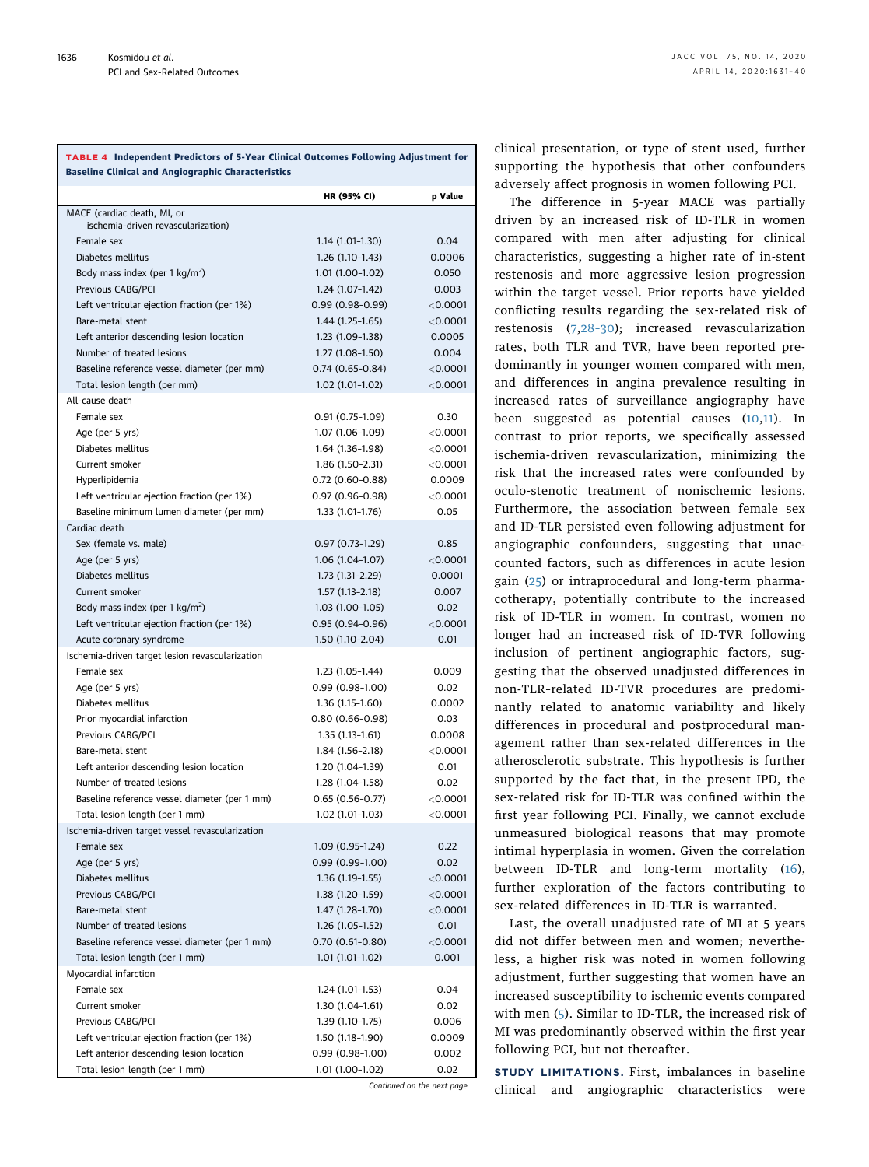<span id="page-5-0"></span>TABLE 4 Independent Predictors of 5-Year Clinical Outcomes Following Adjustment for Baseline Clinical and Angiographic Characteristics

|                                                                   | HR (95% CI)         | p Value    |
|-------------------------------------------------------------------|---------------------|------------|
| MACE (cardiac death, MI, or<br>ischemia-driven revascularization) |                     |            |
| Female sex                                                        | $1.14(1.01-1.30)$   | 0.04       |
| Diabetes mellitus                                                 | $1.26(1.10-1.43)$   | 0.0006     |
| Body mass index (per 1 $\text{kg/m}^2$ )                          | 1.01 (1.00-1.02)    | 0.050      |
| Previous CABG/PCI                                                 | $1.24(1.07-1.42)$   | 0.003      |
| Left ventricular ejection fraction (per 1%)                       | $0.99(0.98-0.99)$   | $<$ 0.0001 |
| Bare-metal stent                                                  | $1.44(1.25-1.65)$   | $<$ 0.0001 |
| Left anterior descending lesion location                          | $1.23(1.09-1.38)$   | 0.0005     |
| Number of treated lesions                                         | $1.27(1.08-1.50)$   | 0.004      |
| Baseline reference vessel diameter (per mm)                       | $0.74(0.65-0.84)$   | < 0.0001   |
| Total lesion length (per mm)                                      | $1.02(1.01-1.02)$   | < 0.0001   |
| All-cause death                                                   |                     |            |
| Female sex                                                        | $0.91(0.75-1.09)$   | 0.30       |
| Age (per 5 yrs)                                                   | 1.07 (1.06-1.09)    | $<$ 0.0001 |
| Diabetes mellitus                                                 | 1.64 (1.36-1.98)    | $<$ 0.0001 |
| Current smoker                                                    | 1.86 (1.50-2.31)    | < 0.0001   |
| Hyperlipidemia                                                    | $0.72(0.60 - 0.88)$ | 0.0009     |
| Left ventricular ejection fraction (per 1%)                       | $0.97(0.96 - 0.98)$ | < 0.0001   |
| Baseline minimum lumen diameter (per mm)                          | 1.33 (1.01-1.76)    | 0.05       |
| Cardiac death                                                     |                     |            |
| Sex (female vs. male)                                             | $0.97(0.73-1.29)$   | 0.85       |
| Age (per 5 yrs)                                                   | $1.06(1.04-1.07)$   | $<$ 0.0001 |
| Diabetes mellitus                                                 | 1.73 (1.31-2.29)    | 0.0001     |
| Current smoker                                                    | $1.57(1.13 - 2.18)$ | 0.007      |
| Body mass index (per 1 $\text{kg/m}^2$ )                          | $1.03(1.00-1.05)$   | 0.02       |
| Left ventricular ejection fraction (per 1%)                       | 0.95 (0.94-0.96)    | < 0.0001   |
| Acute coronary syndrome                                           | 1.50 (1.10-2.04)    | 0.01       |
| Ischemia-driven target lesion revascularization                   |                     |            |
| Female sex                                                        | 1.23 (1.05-1.44)    | 0.009      |
| Age (per 5 yrs)                                                   | $0.99(0.98-1.00)$   | 0.02       |
| Diabetes mellitus                                                 | 1.36 (1.15-1.60)    | 0.0002     |
| Prior myocardial infarction                                       | $0.80(0.66 - 0.98)$ | 0.03       |
| Previous CABG/PCI                                                 | $1.35(1.13-1.61)$   | 0.0008     |
| Bare-metal stent                                                  | 1.84 (1.56-2.18)    | < 0.0001   |
| Left anterior descending lesion location                          | 1.20 (1.04-1.39)    | 0.01       |
| Number of treated lesions                                         | 1.28 (1.04-1.58)    | 0.02       |
| Baseline reference vessel diameter (per 1 mm)                     | $0.65(0.56 - 0.77)$ | < 0.0001   |
| Total lesion length (per 1 mm)                                    | $1.02(1.01-1.03)$   | < 0.0001   |
| Ischemia-driven target vessel revascularization                   |                     |            |
| Female sex                                                        | $1.09(0.95-1.24)$   | 0.22       |
| Age (per 5 yrs)                                                   | 0.99 (0.99-1.00)    | 0.02       |
| Diabetes mellitus                                                 | $1.36(1.19-1.55)$   | $<$ 0.0001 |
| Previous CABG/PCI                                                 | 1.38 (1.20-1.59)    | $<$ 0.0001 |
| Bare-metal stent                                                  | 1.47 (1.28-1.70)    | $<$ 0.0001 |
| Number of treated lesions                                         | 1.26 (1.05-1.52)    | 0.01       |
| Baseline reference vessel diameter (per 1 mm)                     | $0.70(0.61-0.80)$   | $<$ 0.0001 |
| Total lesion length (per 1 mm)                                    | $1.01(1.01-1.02)$   | 0.001      |
| Myocardial infarction                                             |                     |            |
| Female sex                                                        | $1.24(1.01-1.53)$   | 0.04       |
| Current smoker                                                    | 1.30 (1.04-1.61)    | 0.02       |
| Previous CABG/PCI                                                 | 1.39 (1.10-1.75)    | 0.006      |
| Left ventricular ejection fraction (per 1%)                       | 1.50 (1.18-1.90)    | 0.0009     |
| Left anterior descending lesion location                          | $0.99(0.98-1.00)$   | 0.002      |
| Total lesion length (per 1 mm)                                    | 1.01 (1.00-1.02)    | 0.02       |

Continued on the next page

clinical presentation, or type of stent used, further supporting the hypothesis that other confounders adversely affect prognosis in women following PCI.

The difference in 5-year MACE was partially driven by an increased risk of ID-TLR in women compared with men after adjusting for clinical characteristics, suggesting a higher rate of in-stent restenosis and more aggressive lesion progression within the target vessel. Prior reports have yielded conflicting results regarding the sex-related risk of restenosis ([7,](#page-9-16)28–[30\)](#page-9-19); increased revascularization rates, both TLR and TVR, have been reported predominantly in younger women compared with men, and differences in angina prevalence resulting in increased rates of surveillance angiography have been suggested as potential causes ([10,](#page-9-14)[11](#page-9-8)). In contrast to prior reports, we specifically assessed ischemia-driven revascularization, minimizing the risk that the increased rates were confounded by oculo-stenotic treatment of nonischemic lesions. Furthermore, the association between female sex and ID-TLR persisted even following adjustment for angiographic confounders, suggesting that unaccounted factors, such as differences in acute lesion gain ([25](#page-9-15)) or intraprocedural and long-term pharmacotherapy, potentially contribute to the increased risk of ID-TLR in women. In contrast, women no longer had an increased risk of ID-TVR following inclusion of pertinent angiographic factors, suggesting that the observed unadjusted differences in non-TLR–related ID-TVR procedures are predominantly related to anatomic variability and likely differences in procedural and postprocedural management rather than sex-related differences in the atherosclerotic substrate. This hypothesis is further supported by the fact that, in the present IPD, the sex-related risk for ID-TLR was confined within the first year following PCI. Finally, we cannot exclude unmeasured biological reasons that may promote intimal hyperplasia in women. Given the correlation between ID-TLR and long-term mortality ([16\)](#page-9-4), further exploration of the factors contributing to sex-related differences in ID-TLR is warranted.

Last, the overall unadjusted rate of MI at 5 years did not differ between men and women; nevertheless, a higher risk was noted in women following adjustment, further suggesting that women have an increased susceptibility to ischemic events compared with men [\(5\)](#page-9-6). Similar to ID-TLR, the increased risk of MI was predominantly observed within the first year following PCI, but not thereafter.

STUDY LIMITATIONS. First, imbalances in baseline clinical and angiographic characteristics were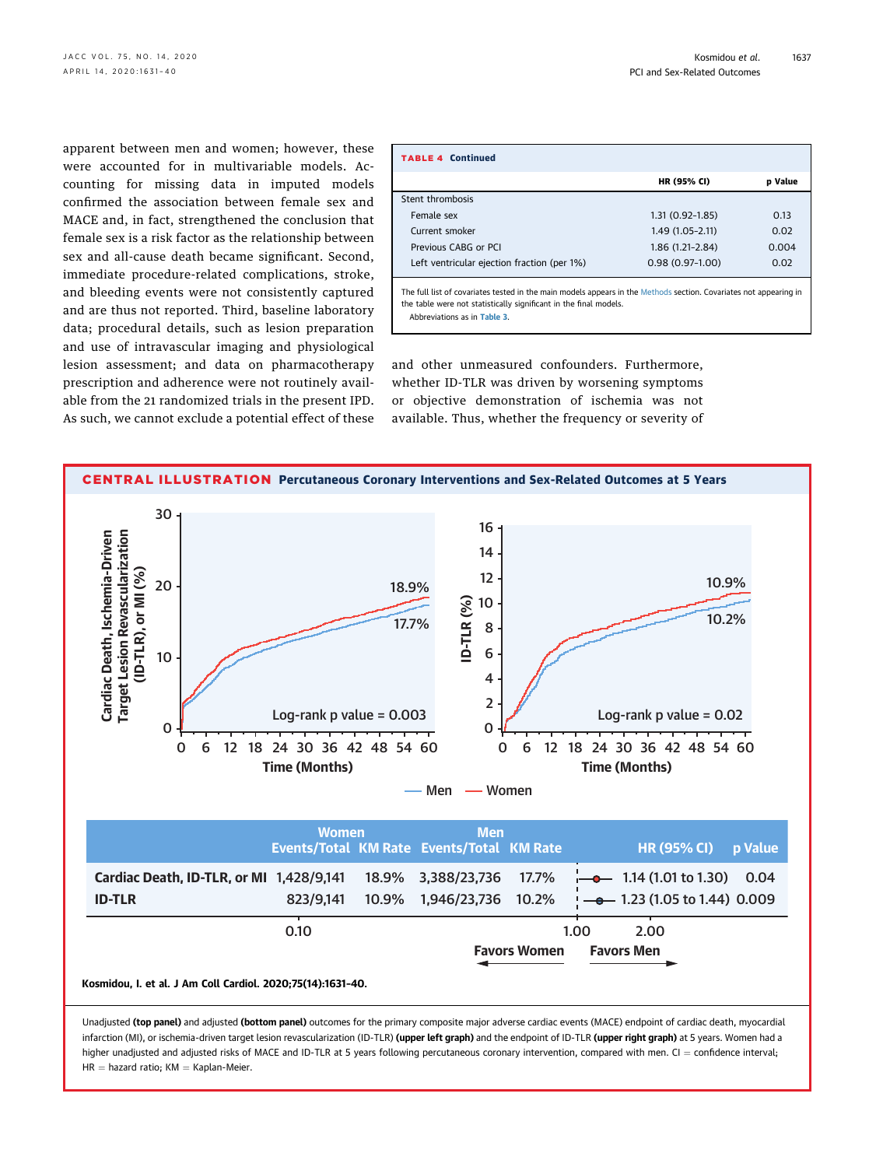apparent between men and women; however, these were accounted for in multivariable models. Accounting for missing data in imputed models confirmed the association between female sex and MACE and, in fact, strengthened the conclusion that female sex is a risk factor as the relationship between sex and all-cause death became significant. Second, immediate procedure-related complications, stroke, and bleeding events were not consistently captured and are thus not reported. Third, baseline laboratory data; procedural details, such as lesion preparation and use of intravascular imaging and physiological lesion assessment; and data on pharmacotherapy prescription and adherence were not routinely available from the 21 randomized trials in the present IPD. As such, we cannot exclude a potential effect of these

| <b>TABLE 4 Continued</b>                                                                                                                                                               |                     |                |
|----------------------------------------------------------------------------------------------------------------------------------------------------------------------------------------|---------------------|----------------|
|                                                                                                                                                                                        | <b>HR (95% CI)</b>  | <b>p</b> Value |
| Stent thrombosis                                                                                                                                                                       |                     |                |
| Female sex                                                                                                                                                                             | $1.31(0.92 - 1.85)$ | 0.13           |
| Current smoker                                                                                                                                                                         | $1.49(1.05 - 2.11)$ | 0.02           |
| Previous CABG or PCI                                                                                                                                                                   | $1.86(1.21 - 2.84)$ | 0.004          |
| Left ventricular ejection fraction (per 1%)                                                                                                                                            | $0.98(0.97-1.00)$   | 0.02           |
| The full list of covariates tested in the main models appears in the Methods section. Covariates not appearing in<br>the table were not statistically significant in the final models. |                     |                |

Abbreviations as in [Table 3](#page-3-0).

and other unmeasured confounders. Furthermore, whether ID-TLR was driven by worsening symptoms or objective demonstration of ischemia was not available. Thus, whether the frequency or severity of

<span id="page-6-0"></span>

Unadjusted (top panel) and adjusted (bottom panel) outcomes for the primary composite major adverse cardiac events (MACE) endpoint of cardiac death, myocardial infarction (MI), or ischemia-driven target lesion revascularization (ID-TLR) (upper left graph) and the endpoint of ID-TLR (upper right graph) at 5 years. Women had a higher unadjusted and adjusted risks of MACE and ID-TLR at 5 years following percutaneous coronary intervention, compared with men.  $Cl =$  confidence interval;  $HR =$  hazard ratio:  $KM =$  Kaplan-Meier.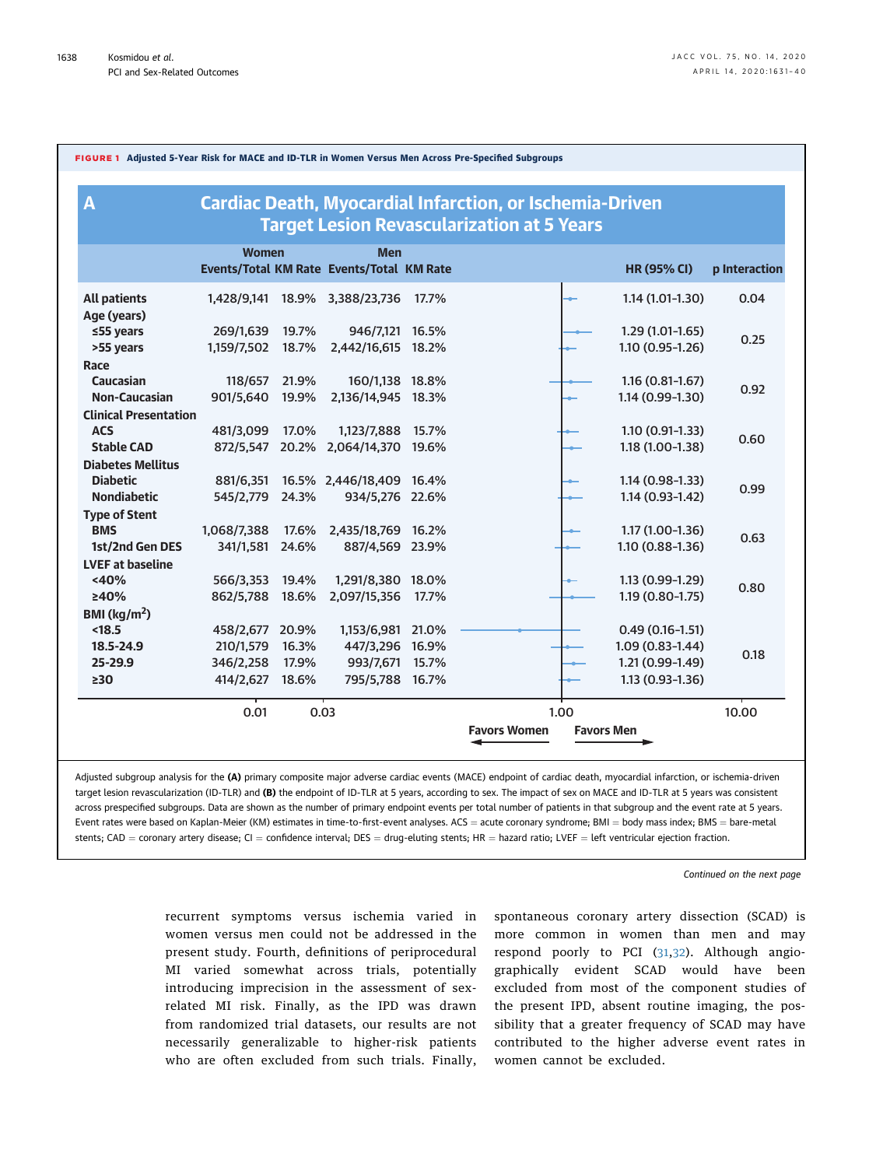<span id="page-7-0"></span>

| $\overline{\mathsf{A}}$      |                   |       |                                                         |       | <b>Cardiac Death, Myocardial Infarction, or Ischemia-Driven</b><br><b>Target Lesion Revascularization at 5 Years</b> |                   |                     |               |
|------------------------------|-------------------|-------|---------------------------------------------------------|-------|----------------------------------------------------------------------------------------------------------------------|-------------------|---------------------|---------------|
|                              | <b>Women</b>      |       | <b>Men</b><br>Events/Total KM Rate Events/Total KM Rate |       |                                                                                                                      |                   | <b>HR (95% CI)</b>  | p Interaction |
| <b>All patients</b>          |                   |       | 1,428/9,141 18.9% 3,388/23,736                          | 17.7% |                                                                                                                      |                   | $1.14(1.01-1.30)$   | 0.04          |
| Age (years)                  |                   |       |                                                         |       |                                                                                                                      |                   |                     |               |
| ≤55 years                    | 269/1,639 19.7%   |       | 946/7,121 16.5%                                         |       |                                                                                                                      |                   | $1.29(1.01-1.65)$   | 0.25          |
| >55 years                    | 1,159/7,502 18.7% |       | 2,442/16,615 18.2%                                      |       |                                                                                                                      |                   | $1.10(0.95 - 1.26)$ |               |
| Race                         |                   |       |                                                         |       |                                                                                                                      |                   |                     |               |
| <b>Caucasian</b>             | 118/657           | 21.9% | 160/1,138 18.8%                                         |       |                                                                                                                      |                   | $1.16(0.81 - 1.67)$ |               |
| <b>Non-Caucasian</b>         | 901/5,640 19.9%   |       | 2,136/14,945 18.3%                                      |       |                                                                                                                      |                   | 1.14 (0.99-1.30)    | 0.92          |
| <b>Clinical Presentation</b> |                   |       |                                                         |       |                                                                                                                      |                   |                     |               |
| <b>ACS</b>                   | 481/3,099         | 17.0% | 1,123/7,888 15.7%                                       |       |                                                                                                                      |                   | $1.10(0.91-1.33)$   |               |
| <b>Stable CAD</b>            |                   |       | 872/5,547 20.2% 2,064/14,370 19.6%                      |       |                                                                                                                      |                   | 1.18 (1.00-1.38)    | 0.60          |
| <b>Diabetes Mellitus</b>     |                   |       |                                                         |       |                                                                                                                      |                   |                     |               |
| <b>Diabetic</b>              |                   |       | 881/6,351 16.5% 2,446/18,409 16.4%                      |       |                                                                                                                      |                   | $1.14(0.98-1.33)$   |               |
| <b>Nondiabetic</b>           | 545/2,779         | 24.3% | 934/5,276 22.6%                                         |       |                                                                                                                      |                   | $1.14(0.93 - 1.42)$ | 0.99          |
| <b>Type of Stent</b>         |                   |       |                                                         |       |                                                                                                                      |                   |                     |               |
| <b>BMS</b>                   | 1,068/7,388       | 17.6% | 2,435/18,769 16.2%                                      |       |                                                                                                                      |                   | $1.17(1.00-1.36)$   |               |
| 1st/2nd Gen DES              | 341/1,581 24.6%   |       | 887/4,569 23.9%                                         |       |                                                                                                                      |                   | $1.10(0.88 - 1.36)$ | 0.63          |
| <b>LVEF at baseline</b>      |                   |       |                                                         |       |                                                                                                                      |                   |                     |               |
| <40%                         | 566/3,353 19.4%   |       | 1,291/8,380 18.0%                                       |       |                                                                                                                      |                   | 1.13 (0.99-1.29)    |               |
| >40%                         | 862/5,788 18.6%   |       | 2,097/15,356                                            | 17.7% |                                                                                                                      |                   | 1.19 (0.80-1.75)    | 0.80          |
| BMI ( $\text{kg/m}^2$ )      |                   |       |                                                         |       |                                                                                                                      |                   |                     |               |
| $18.5$                       | 458/2,677 20.9%   |       | 1,153/6,981 21.0%                                       |       |                                                                                                                      |                   | $0.49(0.16 - 1.51)$ |               |
| 18.5-24.9                    | 210/1,579 16.3%   |       | 447/3,296 16.9%                                         |       |                                                                                                                      |                   | $1.09(0.83 - 1.44)$ |               |
| 25-29.9                      | 346/2,258 17.9%   |       | 993/7,671 15.7%                                         |       |                                                                                                                      |                   | 1.21 (0.99-1.49)    | 0.18          |
| $\geq 30$                    | 414/2,627 18.6%   |       | 795/5,788 16.7%                                         |       |                                                                                                                      |                   | 1.13 (0.93-1.36)    |               |
|                              |                   |       |                                                         |       |                                                                                                                      |                   |                     |               |
|                              | 0.01              |       | 0.03                                                    |       |                                                                                                                      | 1.00              |                     | 10.00         |
|                              |                   |       |                                                         |       | <b>Favors Women</b>                                                                                                  | <b>Favors Men</b> |                     |               |

Adjusted subgroup analysis for the (A) primary composite major adverse cardiac events (MACE) endpoint of cardiac death, myocardial infarction, or ischemia-driven target lesion revascularization (ID-TLR) and (B) the endpoint of ID-TLR at 5 years, according to sex. The impact of sex on MACE and ID-TLR at 5 years was consistent across prespecified subgroups. Data are shown as the number of primary endpoint events per total number of patients in that subgroup and the event rate at 5 years. Event rates were based on Kaplan-Meier (KM) estimates in time-to-first-event analyses. ACS = acute coronary syndrome; BMI = body mass index; BMS = bare-metal stents; CAD = coronary artery disease; CI = confidence interval; DES = drug-eluting stents; HR = hazard ratio; LVEF = left ventricular ejection fraction.

Continued on the next page

recurrent symptoms versus ischemia varied in women versus men could not be addressed in the present study. Fourth, definitions of periprocedural MI varied somewhat across trials, potentially introducing imprecision in the assessment of sexrelated MI risk. Finally, as the IPD was drawn from randomized trial datasets, our results are not necessarily generalizable to higher-risk patients who are often excluded from such trials. Finally,

spontaneous coronary artery dissection (SCAD) is more common in women than men and may respond poorly to PCI ([31,](#page-9-20)[32\)](#page-9-21). Although angiographically evident SCAD would have been excluded from most of the component studies of the present IPD, absent routine imaging, the possibility that a greater frequency of SCAD may have contributed to the higher adverse event rates in women cannot be excluded.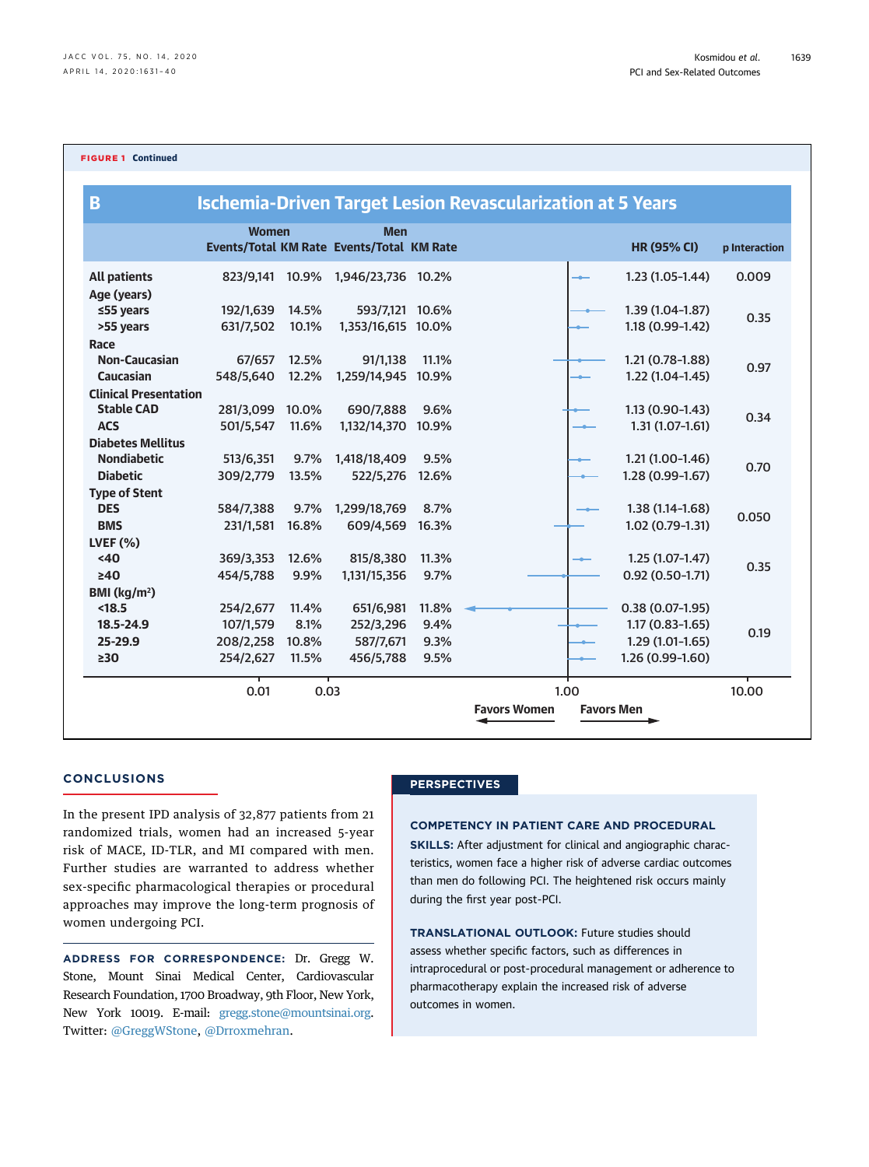#### FIGURE 1 Continued

| B                            |                 |       |                                                         |       | <b>Ischemia-Driven Target Lesion Revascularization at 5 Years</b> |                   |                     |               |
|------------------------------|-----------------|-------|---------------------------------------------------------|-------|-------------------------------------------------------------------|-------------------|---------------------|---------------|
|                              | <b>Women</b>    |       | <b>Men</b><br>Events/Total KM Rate Events/Total KM Rate |       |                                                                   |                   | <b>HR (95% CI)</b>  | p Interaction |
| <b>All patients</b>          | 823/9,141 10.9% |       | 1,946/23,736 10.2%                                      |       |                                                                   |                   | $1.23(1.05-1.44)$   | 0.009         |
| Age (years)                  |                 |       |                                                         |       |                                                                   |                   |                     |               |
| $≤55$ years                  | 192/1,639       | 14.5% | 593/7.121 10.6%                                         |       |                                                                   |                   | $1.39(1.04-1.87)$   | 0.35          |
| >55 years                    | 631/7,502       | 10.1% | 1,353/16,615 10.0%                                      |       |                                                                   |                   | 1.18 (0.99-1.42)    |               |
| Race                         |                 |       |                                                         |       |                                                                   |                   |                     |               |
| <b>Non-Caucasian</b>         | 67/657          | 12.5% | 91/1,138                                                | 11.1% |                                                                   |                   | 1.21 (0.78-1.88)    | 0.97          |
| Caucasian                    | 548/5,640       | 12.2% | 1,259/14,945                                            | 10.9% |                                                                   |                   | $1.22(1.04-1.45)$   |               |
| <b>Clinical Presentation</b> |                 |       |                                                         |       |                                                                   |                   |                     |               |
| <b>Stable CAD</b>            | 281/3,099       | 10.0% | 690/7.888                                               | 9.6%  |                                                                   |                   | $1.13(0.90-1.43)$   | 0.34          |
| <b>ACS</b>                   | 501/5,547       | 11.6% | 1,132/14,370                                            | 10.9% |                                                                   |                   | $1.31(1.07-1.61)$   |               |
| <b>Diabetes Mellitus</b>     |                 |       |                                                         |       |                                                                   |                   |                     |               |
| <b>Nondiabetic</b>           | 513/6,351       | 9.7%  | 1,418/18,409                                            | 9.5%  |                                                                   |                   | $1.21(1.00-1.46)$   | 0.70          |
| <b>Diabetic</b>              | 309/2,779       | 13.5% | 522/5,276                                               | 12.6% |                                                                   |                   | 1.28 (0.99-1.67)    |               |
| <b>Type of Stent</b>         |                 |       |                                                         |       |                                                                   |                   |                     |               |
| <b>DES</b>                   | 584/7,388       | 9.7%  | 1,299/18,769                                            | 8.7%  |                                                                   |                   | $1.38(1.14 - 1.68)$ | 0.050         |
| <b>BMS</b>                   | 231/1.581       | 16.8% | 609/4,569                                               | 16.3% |                                                                   |                   | $1.02(0.79-1.31)$   |               |
| LVEF(% )                     |                 |       |                                                         |       |                                                                   |                   |                     |               |
| <40                          | 369/3,353       | 12.6% | 815/8,380                                               | 11.3% |                                                                   |                   | $1.25(1.07-1.47)$   |               |
| $\geq 40$                    | 454/5,788       | 9.9%  | 1,131/15,356                                            | 9.7%  |                                                                   |                   | $0.92(0.50 - 1.71)$ | 0.35          |
| BMI (kg/m <sup>2</sup> )     |                 |       |                                                         |       |                                                                   |                   |                     |               |
| $18.5$                       | 254/2,677       | 11.4% | 651/6,981                                               | 11.8% |                                                                   |                   | $0.38(0.07-1.95)$   |               |
| 18.5-24.9                    | 107/1,579       | 8.1%  | 252/3,296                                               | 9.4%  |                                                                   |                   | $1.17(0.83 - 1.65)$ |               |
| 25-29.9                      | 208/2,258       | 10.8% | 587/7,671                                               | 9.3%  |                                                                   |                   | $1.29(1.01-1.65)$   | 0.19          |
| $\geq 30$                    | 254/2,627       | 11.5% | 456/5,788                                               | 9.5%  |                                                                   |                   | $1.26(0.99-1.60)$   |               |
|                              | 0.01            | 0.03  |                                                         |       |                                                                   | 1.00              |                     | 10.00         |
|                              |                 |       |                                                         |       | <b>Favors Women</b>                                               | <b>Favors Men</b> |                     |               |

## **CONCLUSIONS**

In the present IPD analysis of 32,877 patients from 21 randomized trials, women had an increased 5-year risk of MACE, ID-TLR, and MI compared with men. Further studies are warranted to address whether sex-specific pharmacological therapies or procedural approaches may improve the long-term prognosis of women undergoing PCI.

ADDRESS FOR CORRESPONDENCE: Dr. Gregg W. Stone, Mount Sinai Medical Center, Cardiovascular Research Foundation, 1700 Broadway, 9th Floor, New York, New York 10019. E-mail: [gregg.stone@mountsinai.org.](mailto:gregg.stone@mountsinai.org) Twitter: [@GreggWStone,](https://twitter.com/GreggWStone) [@Drroxmehran](https://twitter.com/Drroxmehran).

## **PERSPECTIVES**

COMPETENCY IN PATIENT CARE AND PROCEDURAL SKILLS: After adjustment for clinical and angiographic characteristics, women face a higher risk of adverse cardiac outcomes than men do following PCI. The heightened risk occurs mainly during the first year post-PCI.

TRANSLATIONAL OUTLOOK: Future studies should assess whether specific factors, such as differences in intraprocedural or post-procedural management or adherence to pharmacotherapy explain the increased risk of adverse outcomes in women.